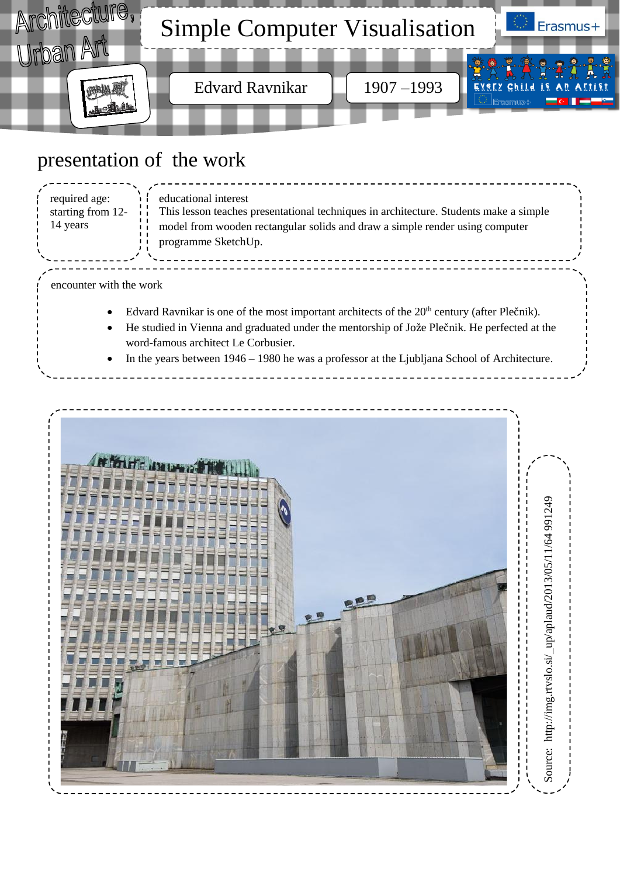

# presentation of the work

| required age:<br>starting from 12-<br>14 years | educational interest<br>This lesson teaches presentational techniques in architecture. Students make a simple<br>model from wooden rectangular solids and draw a simple render using computer<br>programme SketchUp. |
|------------------------------------------------|----------------------------------------------------------------------------------------------------------------------------------------------------------------------------------------------------------------------|
| encounter with the work                        |                                                                                                                                                                                                                      |

Edvard Ravnikar is one of the most important architects of the  $20<sup>th</sup>$  century (after Plečnik).

- He studied in Vienna and graduated under the mentorship of Jože Plečnik. He perfected at the word-famous architect Le Corbusier.
- In the years between 1946 1980 he was a professor at the Ljubljana School of Architecture.

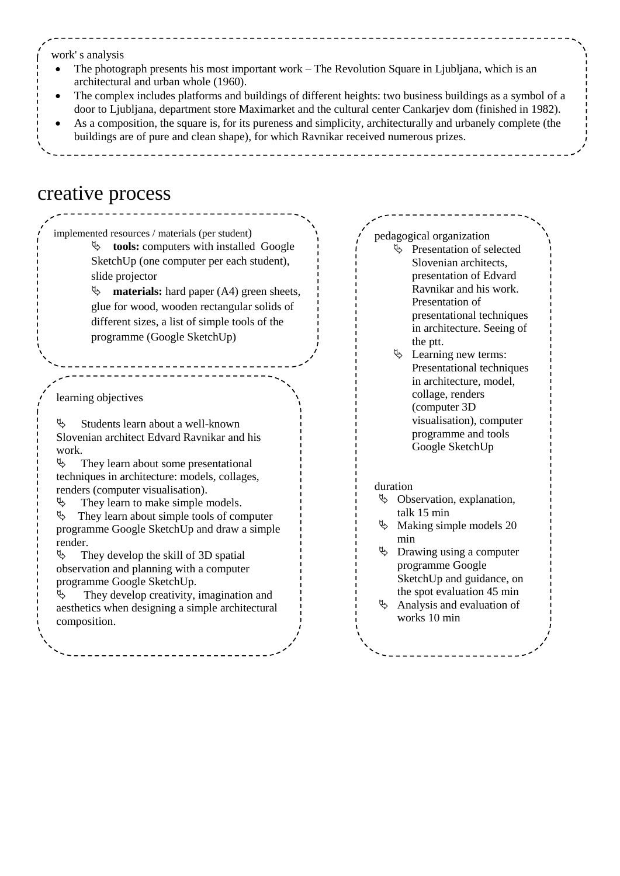work' s analysis

- The photograph presents his most important work The Revolution Square in Ljubljana, which is an architectural and urban whole (1960).
- The complex includes platforms and buildings of different heights: two business buildings as a symbol of a door to Ljubljana, department store Maximarket and the cultural center Cankarjev dom (finished in 1982).
- As a composition, the square is, for its pureness and simplicity, architecturally and urbanely complete (the buildings are of pure and clean shape), for which Ravnikar received numerous prizes.

### creative process

learning objectives  $\mathcal{L}$  Students learn about a well-known Slovenian architect Edvard Ravnikar and his work.  $\&$  They learn about some presentational implemented resources / materials (per student)  $\upphi$  **tools:** computers with installed Google SketchUp (one computer per each student), slide projector **materials:** hard paper (A4) green sheets, glue for wood, wooden rectangular solids of different sizes, a list of simple tools of the programme (Google SketchUp)

techniques in architecture: models, collages, renders (computer visualisation).

 $\&$  They learn to make simple models.  $\&$  They learn about simple tools of computer programme Google SketchUp and draw a simple

render.  $\%$  They develop the skill of 3D spatial observation and planning with a computer programme Google SketchUp.

 They develop creativity, imagination and aesthetics when designing a simple architectural composition.

pedagogical organization  $\&$  Presentation of selected Slovenian architects, presentation of Edvard Ravnikar and his work. Presentation of presentational techniques in architecture. Seeing of the ptt.

 $\&$  Learning new terms: Presentational techniques in architecture, model, collage, renders (computer 3D visualisation), computer programme and tools Google SketchUp

#### duration

- $\&$  Observation, explanation, talk 15 min
- $\%$  Making simple models 20 min
- $\upphi$  Drawing using a computer programme Google SketchUp and guidance, on
- the spot evaluation 45 min  $\&$  Analysis and evaluation of works 10 min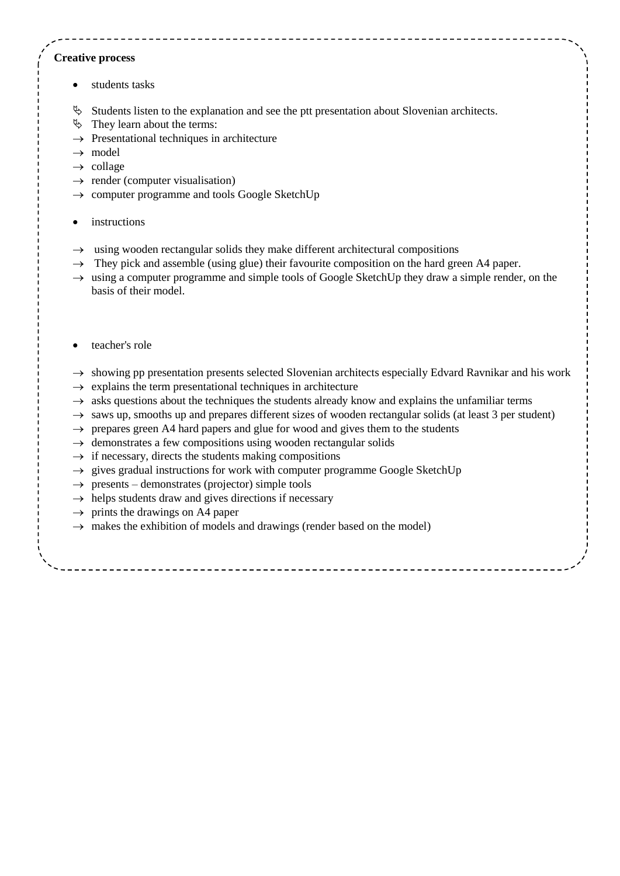#### **Creative process**

- students tasks
- $\&$  Students listen to the explanation and see the ptt presentation about Slovenian architects.
- $\uparrow$  They learn about the terms:
- $\rightarrow$  Presentational techniques in architecture
- $\rightarrow$  model
- $\rightarrow$  collage
- $\rightarrow$  render (computer visualisation)
- $\rightarrow$  computer programme and tools Google SketchUp
- instructions
- $\rightarrow$  using wooden rectangular solids they make different architectural compositions
- $\rightarrow$  They pick and assemble (using glue) their favourite composition on the hard green A4 paper.
- $\rightarrow$  using a computer programme and simple tools of Google SketchUp they draw a simple render, on the basis of their model.
- teacher's role
- $\rightarrow$  showing pp presentation presents selected Slovenian architects especially Edvard Ravnikar and his work
- $\rightarrow$  explains the term presentational techniques in architecture
- $\rightarrow$  asks questions about the techniques the students already know and explains the unfamiliar terms
- $\rightarrow$  saws up, smooths up and prepares different sizes of wooden rectangular solids (at least 3 per student)
- $\rightarrow$  prepares green A4 hard papers and glue for wood and gives them to the students
- $\rightarrow$  demonstrates a few compositions using wooden rectangular solids
- $\rightarrow$  if necessary, directs the students making compositions
- $\rightarrow$  gives gradual instructions for work with computer programme Google SketchUp
- $\rightarrow$  presents demonstrates (projector) simple tools
- $\rightarrow$  helps students draw and gives directions if necessary
- $\rightarrow$  prints the drawings on A4 paper
- $\rightarrow$  makes the exhibition of models and drawings (render based on the model)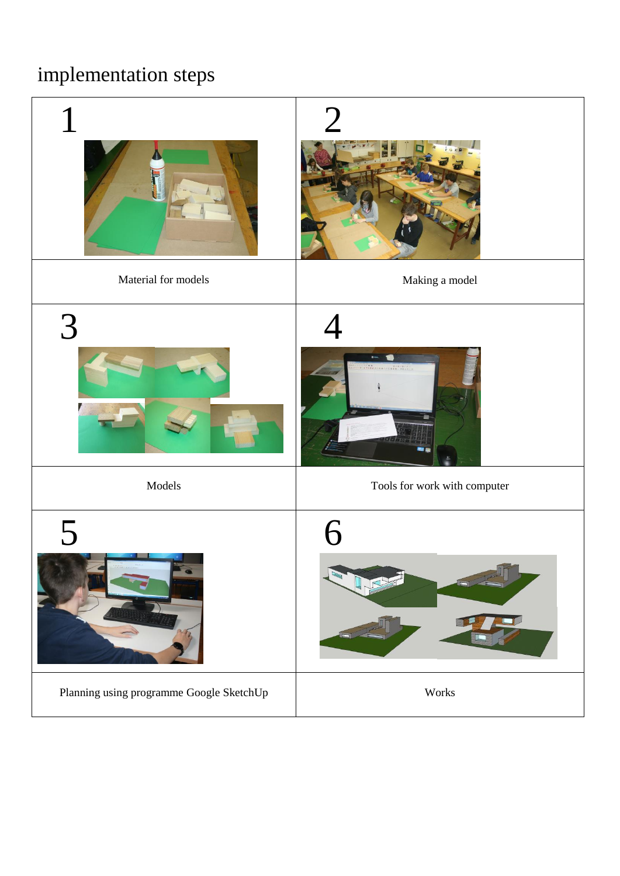# implementation steps